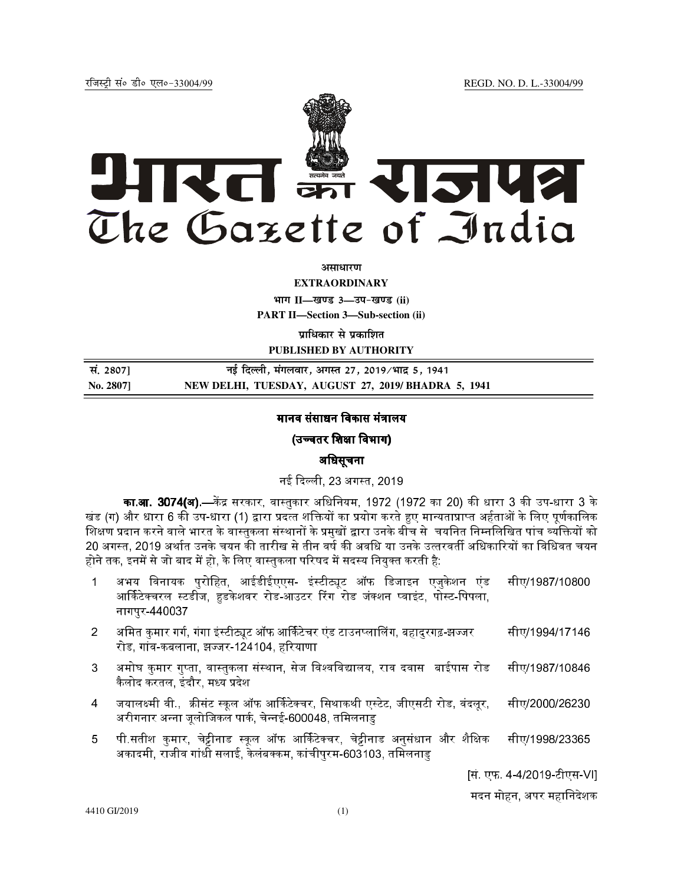

**असाधारण** 

**EXTRAORDINARY**

**Hkkx II—[k.M 3—mi&[k.M (ii)**

**PART II—Section 3—Sub-section (ii)** 

**प्राधिकार से प्रकाशित PUBLISHED BY AUTHORITY**

| सं. 2807] | नई दिल्ली, मंगलवार, अगस्त 27, 2019/भाद 5, 1941     |
|-----------|----------------------------------------------------|
| No. 2807] | NEW DELHI, TUESDAY, AUGUST 27, 2019/BHADRA 5, 1941 |

# मानव संसाधन विकास मंत्रालय

# (उच्चतर शिक्षा विभाग)

## अधिसूचना

नई दिल्ली. 23 अगस्त. 2019.

**का.आ. 3074(अ).—**केंद्र सरकार, वास्तुकार अधिनियम, 1972 (1972 का 20) की धारा 3 की उप-धारा 3 के खंड (ग) और धारा 6 की उप-धारा (1) द्वारा प्रदत्त शक्तियों का प्रयोग करते हुए मान्यताप्राप्त अर्हताओं के लिए पर्णकालिक शिक्षण प्रदान करने वाले भारत के वास्तुकला संस्थानों के प्रमुखों द्वारा उनके बीच से चयनित निम्नलिखित पांच व्यक्तियों को 20 अगस्त. 2019 अर्थात उनके चयन की तारीख से तीन वर्ष की अवधि या उनके उत्तरवर्ती अधिकारियों का विधिवत चयन होने तक, इनमें से जो बाद में हो, के लिए वास्तुकला परिषद में सदस्य नियुक्त करती है:

- 1 अभय विनायक पुरोहित, आईडीईएएस- इंस्टीट्यूट ऑफ डिजाइन एजुकेशन एंड आर्किटेक्चरल स्टडीज, हडकेशवर रोड-आउटर रिंग रोड जंक्शन प्वाइंट, पोस्ट-पिपला, नागपुर-440037 सीए/1987/10800
- 2 अमित कमार गर्ग. गंगा इंस्टीट्यट ऑफ आर्किटेचर एंड टाउनप्लालिंग. बहादरगढ-झज्जर . रोड, गांव-कबलाना, झज्जर-124104, हरियाणा सीए/1994/17146
- 3 अमोघ कमार गप्ता, वास्तकला संस्थान, सेज विश्वविद्यालय, राव दवास बाईपास रोड कैलोद करतल, इंदौर, मध्य प्रदेश सीए/1987/10846
- 4 जयालक्ष्मी वी., क्रीसंट स्कूल ऑफ आर्किटेक्चर, सिथाकथी एस्टेट, जीएसटी रोड, वंदलूर, अरीगनार अन्ना जलोजिकल पार्क. चेन्नई-600048. तमिलनाड सीए/2000/26230
- 5 पी.सतीश कुमार, चेट्टीनाड स्कूल ऑफ आर्किटेक्चर, चेट्टीनाड अनुसंधान और शैक्षिक अकादमी, राजीव गांधी सलाई, केलंबक्कम, कांचीपुरम-603103, तमिलनाडु सीए/1998/23365

[सं. एफ. 4-4/2019-टीएस-VI]

मदन मोहन, अपर महािनदेशक

4410 GI/2019 (1)